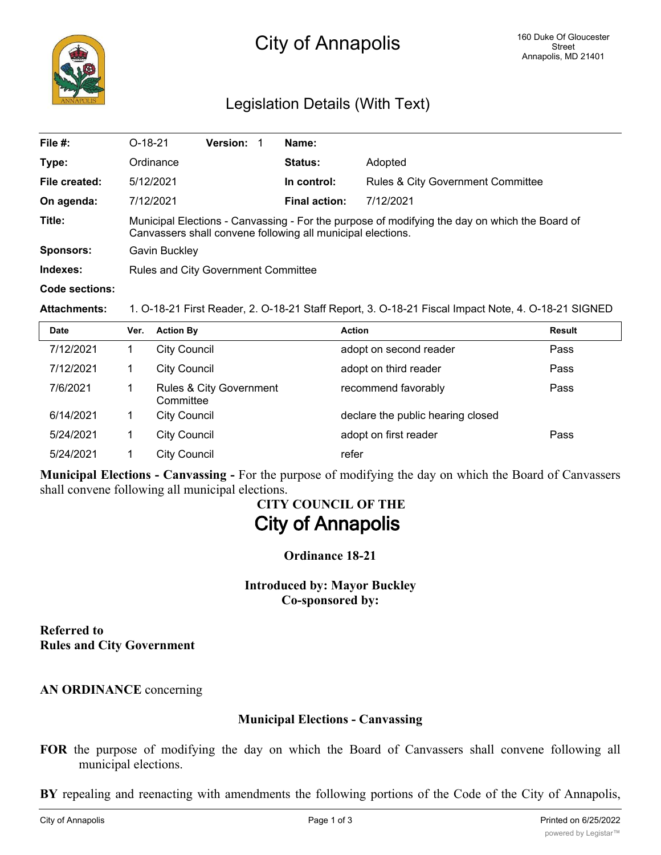

# Legislation Details (With Text)

| File #:               | $O-18-21$                                                                                                                                                    | <b>Version:</b> |  | Name:                |                                              |  |  |
|-----------------------|--------------------------------------------------------------------------------------------------------------------------------------------------------------|-----------------|--|----------------------|----------------------------------------------|--|--|
| Type:                 | Ordinance                                                                                                                                                    |                 |  | <b>Status:</b>       | Adopted                                      |  |  |
| File created:         | 5/12/2021                                                                                                                                                    |                 |  | In control:          | <b>Rules &amp; City Government Committee</b> |  |  |
| On agenda:            | 7/12/2021                                                                                                                                                    |                 |  | <b>Final action:</b> | 7/12/2021                                    |  |  |
| Title:                | Municipal Elections - Canvassing - For the purpose of modifying the day on which the Board of<br>Canvassers shall convene following all municipal elections. |                 |  |                      |                                              |  |  |
| <b>Sponsors:</b>      | Gavin Buckley                                                                                                                                                |                 |  |                      |                                              |  |  |
| Indexes:              | Rules and City Government Committee                                                                                                                          |                 |  |                      |                                              |  |  |
| <b>Code sections:</b> |                                                                                                                                                              |                 |  |                      |                                              |  |  |

**Attachments:** 1. O-18-21 First Reader, 2. O-18-21 Staff Report, 3. O-18-21 Fiscal Impact Note, 4. O-18-21 SIGNED

| <b>Date</b> | Ver. | <b>Action By</b>                                | <b>Action</b>                     | Result |
|-------------|------|-------------------------------------------------|-----------------------------------|--------|
| 7/12/2021   |      | <b>City Council</b>                             | adopt on second reader            | Pass   |
| 7/12/2021   |      | <b>City Council</b>                             | adopt on third reader             | Pass   |
| 7/6/2021    |      | <b>Rules &amp; City Government</b><br>Committee | recommend favorably               | Pass   |
| 6/14/2021   |      | <b>City Council</b>                             | declare the public hearing closed |        |
| 5/24/2021   |      | <b>City Council</b>                             | adopt on first reader             | Pass   |
| 5/24/2021   |      | <b>City Council</b>                             | refer                             |        |

**Municipal Elections - Canvassing -** For the purpose of modifying the day on which the Board of Canvassers shall convene following all municipal elections.

# **CITY COUNCIL OF THE City of Annapolis**

**Ordinance 18-21**

**Introduced by: Mayor Buckley Co-sponsored by:**

**Referred to Rules and City Government**

**AN ORDINANCE** concerning

## **Municipal Elections - Canvassing**

**FOR** the purpose of modifying the day on which the Board of Canvassers shall convene following all municipal elections.

**BY** repealing and reenacting with amendments the following portions of the Code of the City of Annapolis,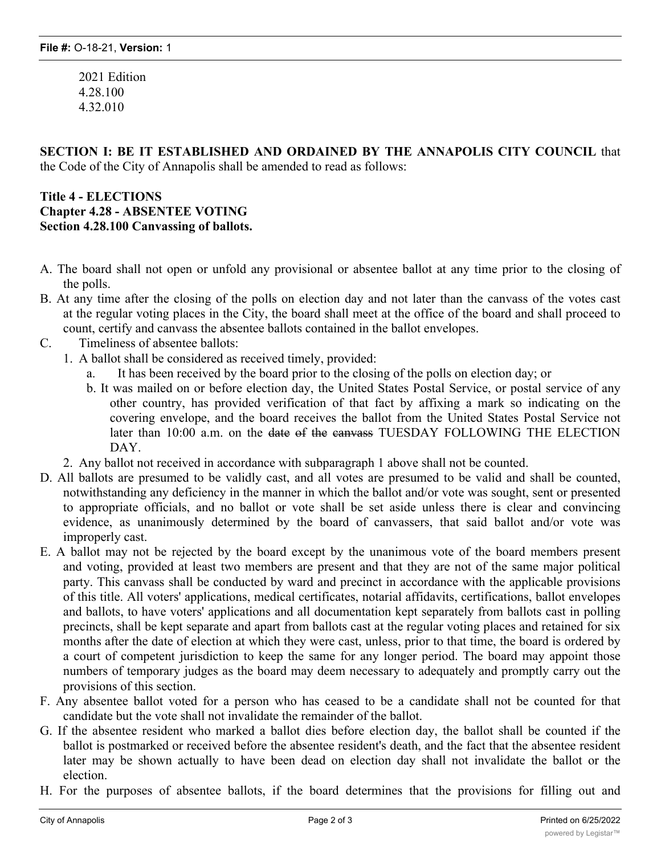2021 Edition 4.28.100 4.32.010

**SECTION I: BE IT ESTABLISHED AND ORDAINED BY THE ANNAPOLIS CITY COUNCIL** that the Code of the City of Annapolis shall be amended to read as follows:

## **Title 4 - ELECTIONS Chapter 4.28 - ABSENTEE VOTING Section 4.28.100 Canvassing of ballots.**

- A. The board shall not open or unfold any provisional or absentee ballot at any time prior to the closing of the polls.
- B. At any time after the closing of the polls on election day and not later than the canvass of the votes cast at the regular voting places in the City, the board shall meet at the office of the board and shall proceed to count, certify and canvass the absentee ballots contained in the ballot envelopes.
- C. Timeliness of absentee ballots:
	- 1. A ballot shall be considered as received timely, provided:
		- It has been received by the board prior to the closing of the polls on election day; or
		- b. It was mailed on or before election day, the United States Postal Service, or postal service of any other country, has provided verification of that fact by affixing a mark so indicating on the covering envelope, and the board receives the ballot from the United States Postal Service not later than 10:00 a.m. on the date of the eanyass TUESDAY FOLLOWING THE ELECTION DAY.
	- 2. Any ballot not received in accordance with subparagraph 1 above shall not be counted.
- D. All ballots are presumed to be validly cast, and all votes are presumed to be valid and shall be counted, notwithstanding any deficiency in the manner in which the ballot and/or vote was sought, sent or presented to appropriate officials, and no ballot or vote shall be set aside unless there is clear and convincing evidence, as unanimously determined by the board of canvassers, that said ballot and/or vote was improperly cast.
- E. A ballot may not be rejected by the board except by the unanimous vote of the board members present and voting, provided at least two members are present and that they are not of the same major political party. This canvass shall be conducted by ward and precinct in accordance with the applicable provisions of this title. All voters' applications, medical certificates, notarial affidavits, certifications, ballot envelopes and ballots, to have voters' applications and all documentation kept separately from ballots cast in polling precincts, shall be kept separate and apart from ballots cast at the regular voting places and retained for six months after the date of election at which they were cast, unless, prior to that time, the board is ordered by a court of competent jurisdiction to keep the same for any longer period. The board may appoint those numbers of temporary judges as the board may deem necessary to adequately and promptly carry out the provisions of this section.
- F. Any absentee ballot voted for a person who has ceased to be a candidate shall not be counted for that candidate but the vote shall not invalidate the remainder of the ballot.
- G. If the absentee resident who marked a ballot dies before election day, the ballot shall be counted if the ballot is postmarked or received before the absentee resident's death, and the fact that the absentee resident later may be shown actually to have been dead on election day shall not invalidate the ballot or the election.
- H. For the purposes of absentee ballots, if the board determines that the provisions for filling out and

signing the oath on the outside of the ballot envelope substantially have been complied with and that the